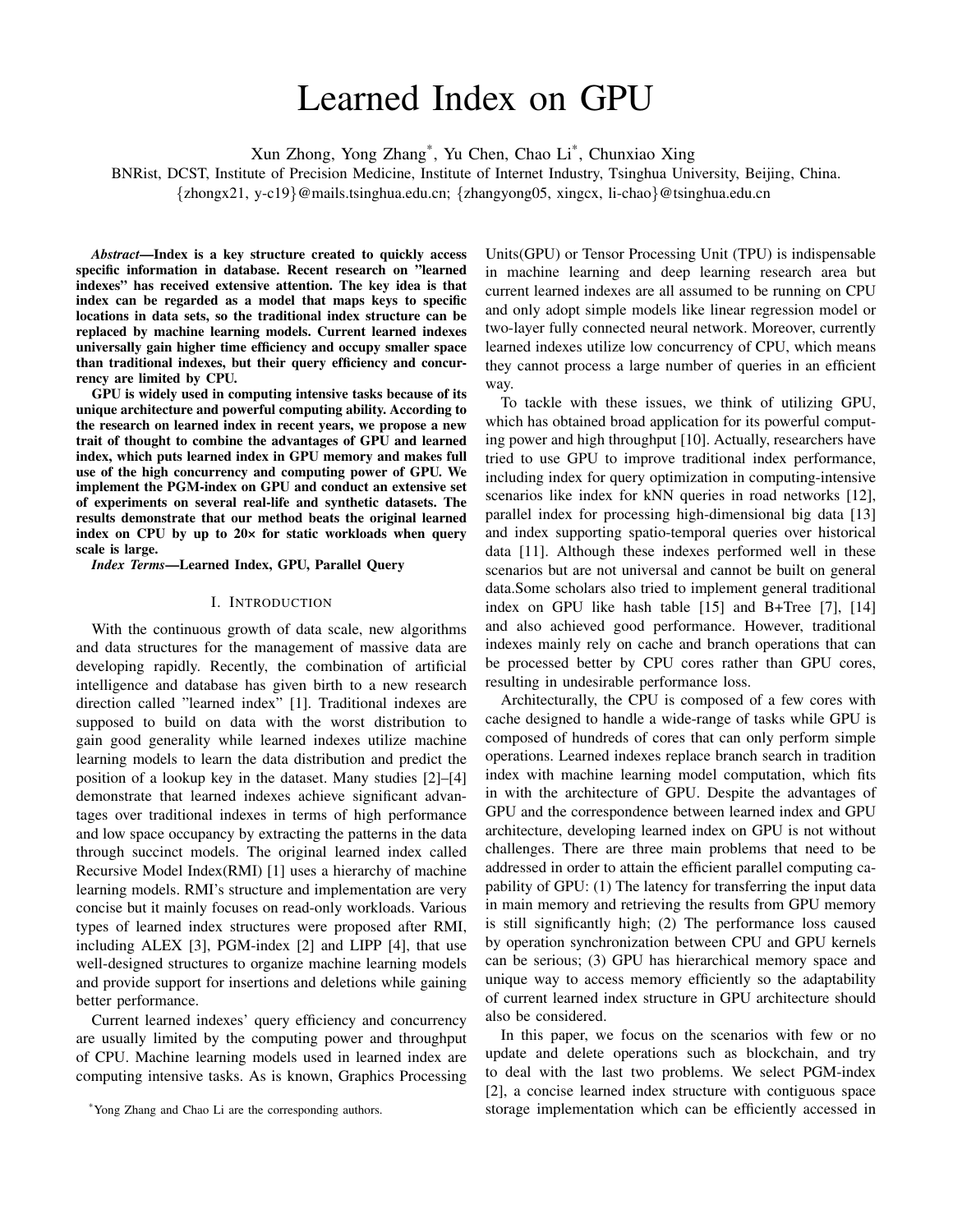# Learned Index on GPU

Xun Zhong, Yong Zhang\* , Yu Chen, Chao Li\* , Chunxiao Xing

BNRist, DCST, Institute of Precision Medicine, Institute of Internet Industry, Tsinghua University, Beijing, China.

{zhongx21, y-c19}@mails.tsinghua.edu.cn; {zhangyong05, xingcx, li-chao}@tsinghua.edu.cn

*Abstract*—Index is a key structure created to quickly access specific information in database. Recent research on "learned indexes" has received extensive attention. The key idea is that index can be regarded as a model that maps keys to specific locations in data sets, so the traditional index structure can be replaced by machine learning models. Current learned indexes universally gain higher time efficiency and occupy smaller space than traditional indexes, but their query efficiency and concurrency are limited by CPU.

GPU is widely used in computing intensive tasks because of its unique architecture and powerful computing ability. According to the research on learned index in recent years, we propose a new trait of thought to combine the advantages of GPU and learned index, which puts learned index in GPU memory and makes full use of the high concurrency and computing power of GPU. We implement the PGM-index on GPU and conduct an extensive set of experiments on several real-life and synthetic datasets. The results demonstrate that our method beats the original learned index on CPU by up to 20× for static workloads when query scale is large.

*Index Terms*—Learned Index, GPU, Parallel Query

#### I. INTRODUCTION

With the continuous growth of data scale, new algorithms and data structures for the management of massive data are developing rapidly. Recently, the combination of artificial intelligence and database has given birth to a new research direction called "learned index" [1]. Traditional indexes are supposed to build on data with the worst distribution to gain good generality while learned indexes utilize machine learning models to learn the data distribution and predict the position of a lookup key in the dataset. Many studies [2]–[4] demonstrate that learned indexes achieve significant advantages over traditional indexes in terms of high performance and low space occupancy by extracting the patterns in the data through succinct models. The original learned index called Recursive Model Index(RMI) [1] uses a hierarchy of machine learning models. RMI's structure and implementation are very concise but it mainly focuses on read-only workloads. Various types of learned index structures were proposed after RMI, including ALEX [3], PGM-index [2] and LIPP [4], that use well-designed structures to organize machine learning models and provide support for insertions and deletions while gaining better performance.

Current learned indexes' query efficiency and concurrency are usually limited by the computing power and throughput of CPU. Machine learning models used in learned index are computing intensive tasks. As is known, Graphics Processing

\*Yong Zhang and Chao Li are the corresponding authors.

Units(GPU) or Tensor Processing Unit (TPU) is indispensable in machine learning and deep learning research area but current learned indexes are all assumed to be running on CPU and only adopt simple models like linear regression model or two-layer fully connected neural network. Moreover, currently learned indexes utilize low concurrency of CPU, which means they cannot process a large number of queries in an efficient way.

To tackle with these issues, we think of utilizing GPU, which has obtained broad application for its powerful computing power and high throughput [10]. Actually, researchers have tried to use GPU to improve traditional index performance, including index for query optimization in computing-intensive scenarios like index for kNN queries in road networks [12], parallel index for processing high-dimensional big data [13] and index supporting spatio-temporal queries over historical data [11]. Although these indexes performed well in these scenarios but are not universal and cannot be built on general data.Some scholars also tried to implement general traditional index on GPU like hash table [15] and B+Tree [7], [14] and also achieved good performance. However, traditional indexes mainly rely on cache and branch operations that can be processed better by CPU cores rather than GPU cores, resulting in undesirable performance loss.

Architecturally, the CPU is composed of a few cores with cache designed to handle a wide-range of tasks while GPU is composed of hundreds of cores that can only perform simple operations. Learned indexes replace branch search in tradition index with machine learning model computation, which fits in with the architecture of GPU. Despite the advantages of GPU and the correspondence between learned index and GPU architecture, developing learned index on GPU is not without challenges. There are three main problems that need to be addressed in order to attain the efficient parallel computing capability of GPU: (1) The latency for transferring the input data in main memory and retrieving the results from GPU memory is still significantly high; (2) The performance loss caused by operation synchronization between CPU and GPU kernels can be serious; (3) GPU has hierarchical memory space and unique way to access memory efficiently so the adaptability of current learned index structure in GPU architecture should also be considered.

In this paper, we focus on the scenarios with few or no update and delete operations such as blockchain, and try to deal with the last two problems. We select PGM-index [2], a concise learned index structure with contiguous space storage implementation which can be efficiently accessed in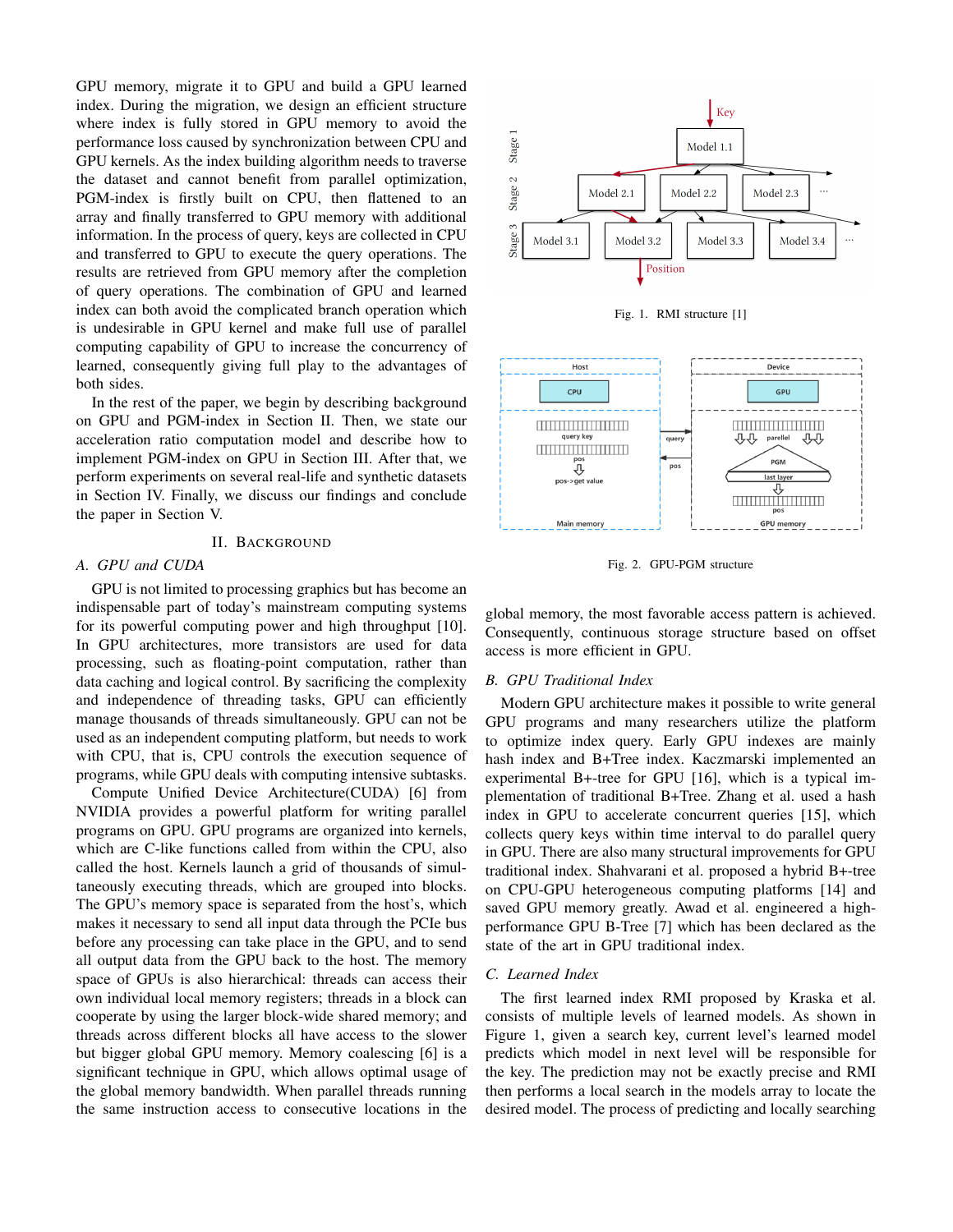GPU memory, migrate it to GPU and build a GPU learned index. During the migration, we design an efficient structure where index is fully stored in GPU memory to avoid the performance loss caused by synchronization between CPU and GPU kernels. As the index building algorithm needs to traverse the dataset and cannot benefit from parallel optimization, PGM-index is firstly built on CPU, then flattened to an array and finally transferred to GPU memory with additional information. In the process of query, keys are collected in CPU and transferred to GPU to execute the query operations. The results are retrieved from GPU memory after the completion of query operations. The combination of GPU and learned index can both avoid the complicated branch operation which is undesirable in GPU kernel and make full use of parallel computing capability of GPU to increase the concurrency of learned, consequently giving full play to the advantages of both sides.

In the rest of the paper, we begin by describing background on GPU and PGM-index in Section II. Then, we state our acceleration ratio computation model and describe how to implement PGM-index on GPU in Section III. After that, we perform experiments on several real-life and synthetic datasets in Section IV. Finally, we discuss our findings and conclude the paper in Section V.

#### II. BACKGROUND

# *A. GPU and CUDA*

GPU is not limited to processing graphics but has become an indispensable part of today's mainstream computing systems for its powerful computing power and high throughput [10]. In GPU architectures, more transistors are used for data processing, such as floating-point computation, rather than data caching and logical control. By sacrificing the complexity and independence of threading tasks, GPU can efficiently manage thousands of threads simultaneously. GPU can not be used as an independent computing platform, but needs to work with CPU, that is, CPU controls the execution sequence of programs, while GPU deals with computing intensive subtasks.

Compute Unified Device Architecture(CUDA) [6] from NVIDIA provides a powerful platform for writing parallel programs on GPU. GPU programs are organized into kernels, which are C-like functions called from within the CPU, also called the host. Kernels launch a grid of thousands of simultaneously executing threads, which are grouped into blocks. The GPU's memory space is separated from the host's, which makes it necessary to send all input data through the PCIe bus before any processing can take place in the GPU, and to send all output data from the GPU back to the host. The memory space of GPUs is also hierarchical: threads can access their own individual local memory registers; threads in a block can cooperate by using the larger block-wide shared memory; and threads across different blocks all have access to the slower but bigger global GPU memory. Memory coalescing [6] is a significant technique in GPU, which allows optimal usage of the global memory bandwidth. When parallel threads running the same instruction access to consecutive locations in the



Fig. 1. RMI structure [1]



Fig. 2. GPU-PGM structure

global memory, the most favorable access pattern is achieved. Consequently, continuous storage structure based on offset access is more efficient in GPU.

## *B. GPU Traditional Index*

Modern GPU architecture makes it possible to write general GPU programs and many researchers utilize the platform to optimize index query. Early GPU indexes are mainly hash index and B+Tree index. Kaczmarski implemented an experimental B+-tree for GPU [16], which is a typical implementation of traditional B+Tree. Zhang et al. used a hash index in GPU to accelerate concurrent queries [15], which collects query keys within time interval to do parallel query in GPU. There are also many structural improvements for GPU traditional index. Shahvarani et al. proposed a hybrid B+-tree on CPU-GPU heterogeneous computing platforms [14] and saved GPU memory greatly. Awad et al. engineered a highperformance GPU B-Tree [7] which has been declared as the state of the art in GPU traditional index.

## *C. Learned Index*

The first learned index RMI proposed by Kraska et al. consists of multiple levels of learned models. As shown in Figure 1, given a search key, current level's learned model predicts which model in next level will be responsible for the key. The prediction may not be exactly precise and RMI then performs a local search in the models array to locate the desired model. The process of predicting and locally searching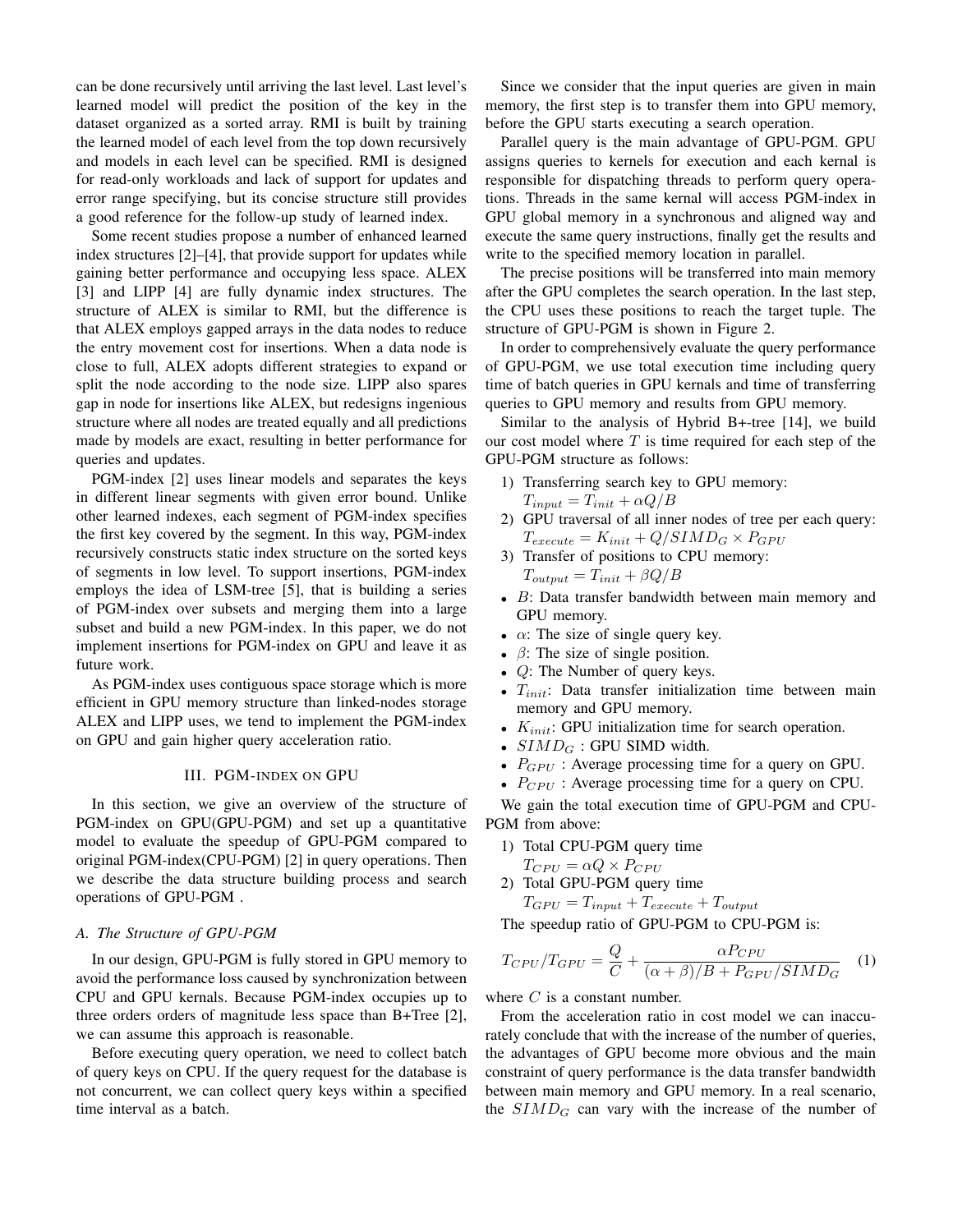can be done recursively until arriving the last level. Last level's learned model will predict the position of the key in the dataset organized as a sorted array. RMI is built by training the learned model of each level from the top down recursively and models in each level can be specified. RMI is designed for read-only workloads and lack of support for updates and error range specifying, but its concise structure still provides a good reference for the follow-up study of learned index.

Some recent studies propose a number of enhanced learned index structures [2]–[4], that provide support for updates while gaining better performance and occupying less space. ALEX [3] and LIPP [4] are fully dynamic index structures. The structure of ALEX is similar to RMI, but the difference is that ALEX employs gapped arrays in the data nodes to reduce the entry movement cost for insertions. When a data node is close to full, ALEX adopts different strategies to expand or split the node according to the node size. LIPP also spares gap in node for insertions like ALEX, but redesigns ingenious structure where all nodes are treated equally and all predictions made by models are exact, resulting in better performance for queries and updates.

PGM-index [2] uses linear models and separates the keys in different linear segments with given error bound. Unlike other learned indexes, each segment of PGM-index specifies the first key covered by the segment. In this way, PGM-index recursively constructs static index structure on the sorted keys of segments in low level. To support insertions, PGM-index employs the idea of LSM-tree [5], that is building a series of PGM-index over subsets and merging them into a large subset and build a new PGM-index. In this paper, we do not implement insertions for PGM-index on GPU and leave it as future work.

As PGM-index uses contiguous space storage which is more efficient in GPU memory structure than linked-nodes storage ALEX and LIPP uses, we tend to implement the PGM-index on GPU and gain higher query acceleration ratio.

#### III. PGM-INDEX ON GPU

In this section, we give an overview of the structure of PGM-index on GPU(GPU-PGM) and set up a quantitative model to evaluate the speedup of GPU-PGM compared to original PGM-index(CPU-PGM) [2] in query operations. Then we describe the data structure building process and search operations of GPU-PGM .

# *A. The Structure of GPU-PGM*

In our design, GPU-PGM is fully stored in GPU memory to avoid the performance loss caused by synchronization between CPU and GPU kernals. Because PGM-index occupies up to three orders orders of magnitude less space than B+Tree [2], we can assume this approach is reasonable.

Before executing query operation, we need to collect batch of query keys on CPU. If the query request for the database is not concurrent, we can collect query keys within a specified time interval as a batch.

Since we consider that the input queries are given in main memory, the first step is to transfer them into GPU memory, before the GPU starts executing a search operation.

Parallel query is the main advantage of GPU-PGM. GPU assigns queries to kernels for execution and each kernal is responsible for dispatching threads to perform query operations. Threads in the same kernal will access PGM-index in GPU global memory in a synchronous and aligned way and execute the same query instructions, finally get the results and write to the specified memory location in parallel.

The precise positions will be transferred into main memory after the GPU completes the search operation. In the last step, the CPU uses these positions to reach the target tuple. The structure of GPU-PGM is shown in Figure 2.

In order to comprehensively evaluate the query performance of GPU-PGM, we use total execution time including query time of batch queries in GPU kernals and time of transferring queries to GPU memory and results from GPU memory.

Similar to the analysis of Hybrid B+-tree [14], we build our cost model where  $T$  is time required for each step of the GPU-PGM structure as follows:

- 1) Transferring search key to GPU memory:  $T_{input} = T_{init} + \alpha Q/B$
- 2) GPU traversal of all inner nodes of tree per each query:  $T_{execute} = K_{init} + Q/SIMD_G \times P_{GPU}$
- 3) Transfer of positions to CPU memory:  $T_{output} = T_{init} + \beta Q/B$
- B: Data transfer bandwidth between main memory and GPU memory.
- $\alpha$ : The size of single query key.
- $\beta$ : The size of single position.
- $Q$ : The Number of query keys.
- $T_{init}$ : Data transfer initialization time between main memory and GPU memory.
- $K_{init}$ : GPU initialization time for search operation.
- $SIMD_G$ : GPU SIMD width.
- $P_{GPU}$  : Average processing time for a query on GPU.
- $P_{CPU}$ : Average processing time for a query on CPU.

We gain the total execution time of GPU-PGM and CPU-PGM from above:

- 1) Total CPU-PGM query time
- $T_{CPU} = \alpha Q \times P_{CPU}$
- 2) Total GPU-PGM query time

$$
T_{GPU} = T_{input} + T_{execute} + T_{output}
$$

The speedup ratio of GPU-PGM to CPU-PGM is:

$$
T_{CPU}/T_{GPU} = \frac{Q}{C} + \frac{\alpha P_{CPU}}{(\alpha + \beta)/B + P_{GPU}/SIMD_G}
$$
 (1)

where  $C$  is a constant number.

From the acceleration ratio in cost model we can inaccurately conclude that with the increase of the number of queries, the advantages of GPU become more obvious and the main constraint of query performance is the data transfer bandwidth between main memory and GPU memory. In a real scenario, the  $SIMD_G$  can vary with the increase of the number of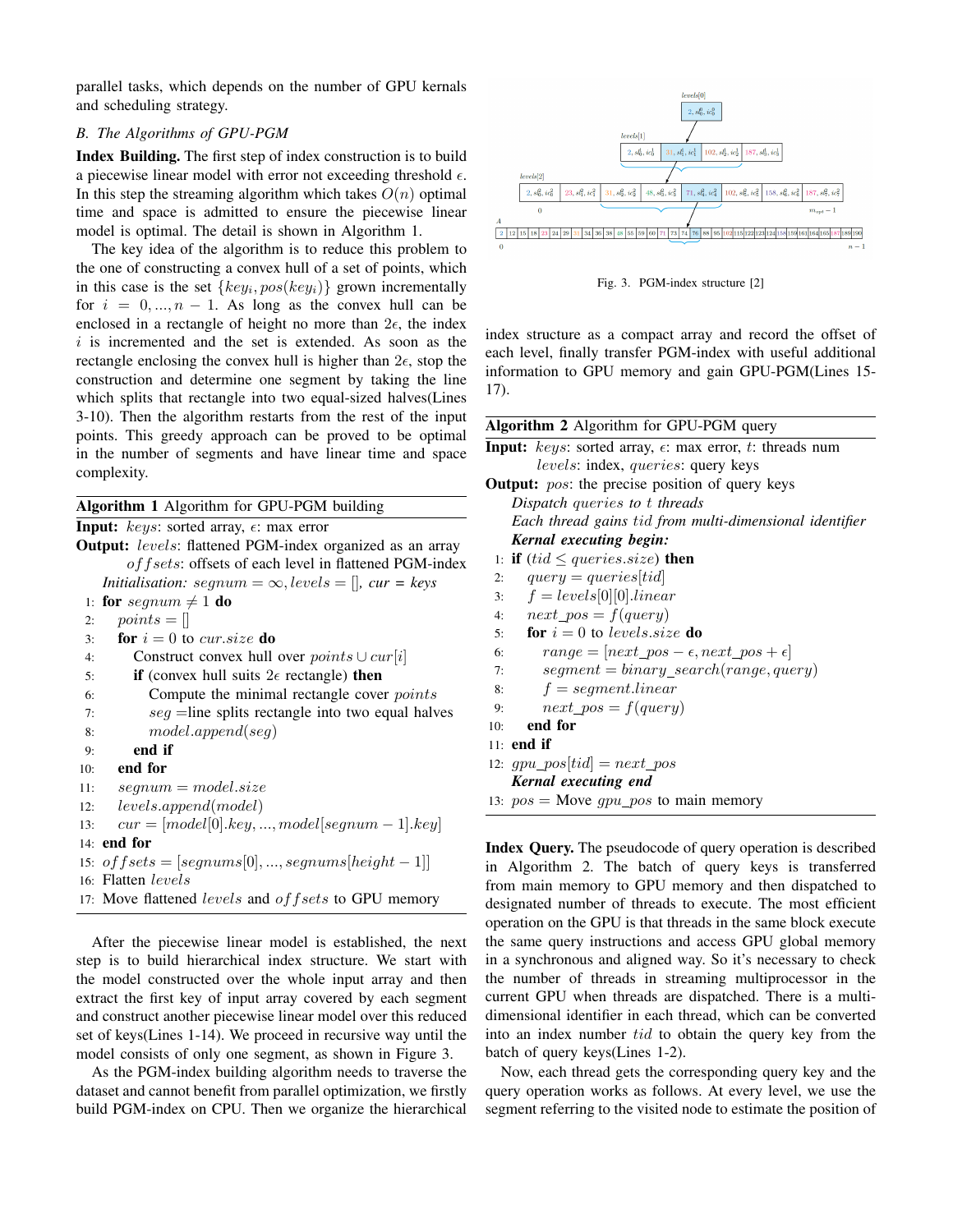parallel tasks, which depends on the number of GPU kernals and scheduling strategy.

# *B. The Algorithms of GPU-PGM*

Index Building. The first step of index construction is to build a piecewise linear model with error not exceeding threshold  $\epsilon$ . In this step the streaming algorithm which takes  $O(n)$  optimal time and space is admitted to ensure the piecewise linear model is optimal. The detail is shown in Algorithm 1.

The key idea of the algorithm is to reduce this problem to the one of constructing a convex hull of a set of points, which in this case is the set  $\{key_i, pos(key_i)\}$  grown incrementally for  $i = 0, ..., n - 1$ . As long as the convex hull can be enclosed in a rectangle of height no more than  $2\epsilon$ , the index  $i$  is incremented and the set is extended. As soon as the rectangle enclosing the convex hull is higher than  $2\epsilon$ , stop the construction and determine one segment by taking the line which splits that rectangle into two equal-sized halves(Lines 3-10). Then the algorithm restarts from the rest of the input points. This greedy approach can be proved to be optimal in the number of segments and have linear time and space complexity.

|     | Algorithm 1 Algorithm for GPU-PGM building                           |    |
|-----|----------------------------------------------------------------------|----|
|     | <b>Input:</b> keys: sorted array, $\epsilon$ : max error             |    |
|     | <b>Output:</b> levels: flattened PGM-index organized as an array     |    |
|     | of f sets: offsets of each level in flattened PGM-index              |    |
|     | <i>Initialisation:</i> $segnum = \infty, levels = []$ , $cur = keys$ |    |
|     | 1: for segnum $\neq$ 1 do                                            |    |
| 2:  | $points = []$                                                        |    |
| 3:  | for $i = 0$ to cur.size do                                           |    |
| 4:  | Construct convex hull over $points \cup cur[i]$                      |    |
| 5:  | <b>if</b> (convex hull suits $2\epsilon$ rectangle) <b>then</b>      |    |
| 6:  | Compute the minimal rectangle cover <i>points</i>                    |    |
| 7:  | $seg = line$ splits rectangle into two equal halves                  |    |
| 8:  | model.append(seq)                                                    | 1  |
| 9:  | end if                                                               |    |
| 10: | end for                                                              |    |
| 11: | $seqnum = model.size$                                                |    |
| 12: | levels.append(model)                                                 | 1  |
| 13: | $cur = [model[0].key,,model[segment-1].key]$                         |    |
|     | $14:$ end for                                                        | I  |
|     | 15: $offsets = [segments[0], , segnums[height-1]]$                   | iı |
|     | 16: Flatten levels                                                   | f  |
|     | 17: Move flattened levels and of f sets to GPU memory                | d  |

After the piecewise linear model is established, the next step is to build hierarchical index structure. We start with the model constructed over the whole input array and then extract the first key of input array covered by each segment and construct another piecewise linear model over this reduced set of keys(Lines 1-14). We proceed in recursive way until the model consists of only one segment, as shown in Figure 3.

As the PGM-index building algorithm needs to traverse the dataset and cannot benefit from parallel optimization, we firstly build PGM-index on CPU. Then we organize the hierarchical



Fig. 3. PGM-index structure [2]

index structure as a compact array and record the offset of each level, finally transfer PGM-index with useful additional information to GPU memory and gain GPU-PGM(Lines 15- 17).

| Algorithm 2 Algorithm for GPU-PGM query                                        |
|--------------------------------------------------------------------------------|
| <b>Input:</b> $keys$ : sorted array, $\epsilon$ : max error, $t$ : threads num |
| <i>levels:</i> index, <i>queries:</i> query keys                               |
| <b>Output:</b> pos: the precise position of query keys                         |
| Dispatch queries to t threads                                                  |
| Each thread gains tid from multi-dimensional identifier                        |
| Kernal executing begin:                                                        |
| 1: <b>if</b> (tid $\le$ queries size) <b>then</b>                              |
| $query = queries [tid]$<br>2:                                                  |
| $f = levels[0][0].linear$<br>3:                                                |
| 4: $next\_pos = f(query)$                                                      |
| <b>for</b> $i = 0$ to <i>levels, size</i> <b>do</b><br>5:                      |
| $range = [next\_pos - \epsilon, next\_pos + \epsilon]$<br>6:                   |
| $segment = binary\_search(range, query)$<br>7:                                 |
| $f = segmentu$<br>8:                                                           |
| $next\_pos = f(query)$<br>9:                                                   |
| end for<br>10:                                                                 |
| 11: end if                                                                     |
| 12: $gpu\_pos[tid] = next\_pos$                                                |
| Kernal executing end                                                           |
| 13: $pos = Move\ gpu\_pos$ to main memory                                      |

Index Query. The pseudocode of query operation is described in Algorithm 2. The batch of query keys is transferred from main memory to GPU memory and then dispatched to designated number of threads to execute. The most efficient operation on the GPU is that threads in the same block execute the same query instructions and access GPU global memory in a synchronous and aligned way. So it's necessary to check the number of threads in streaming multiprocessor in the current GPU when threads are dispatched. There is a multidimensional identifier in each thread, which can be converted into an index number tid to obtain the query key from the batch of query keys(Lines 1-2).

Now, each thread gets the corresponding query key and the query operation works as follows. At every level, we use the segment referring to the visited node to estimate the position of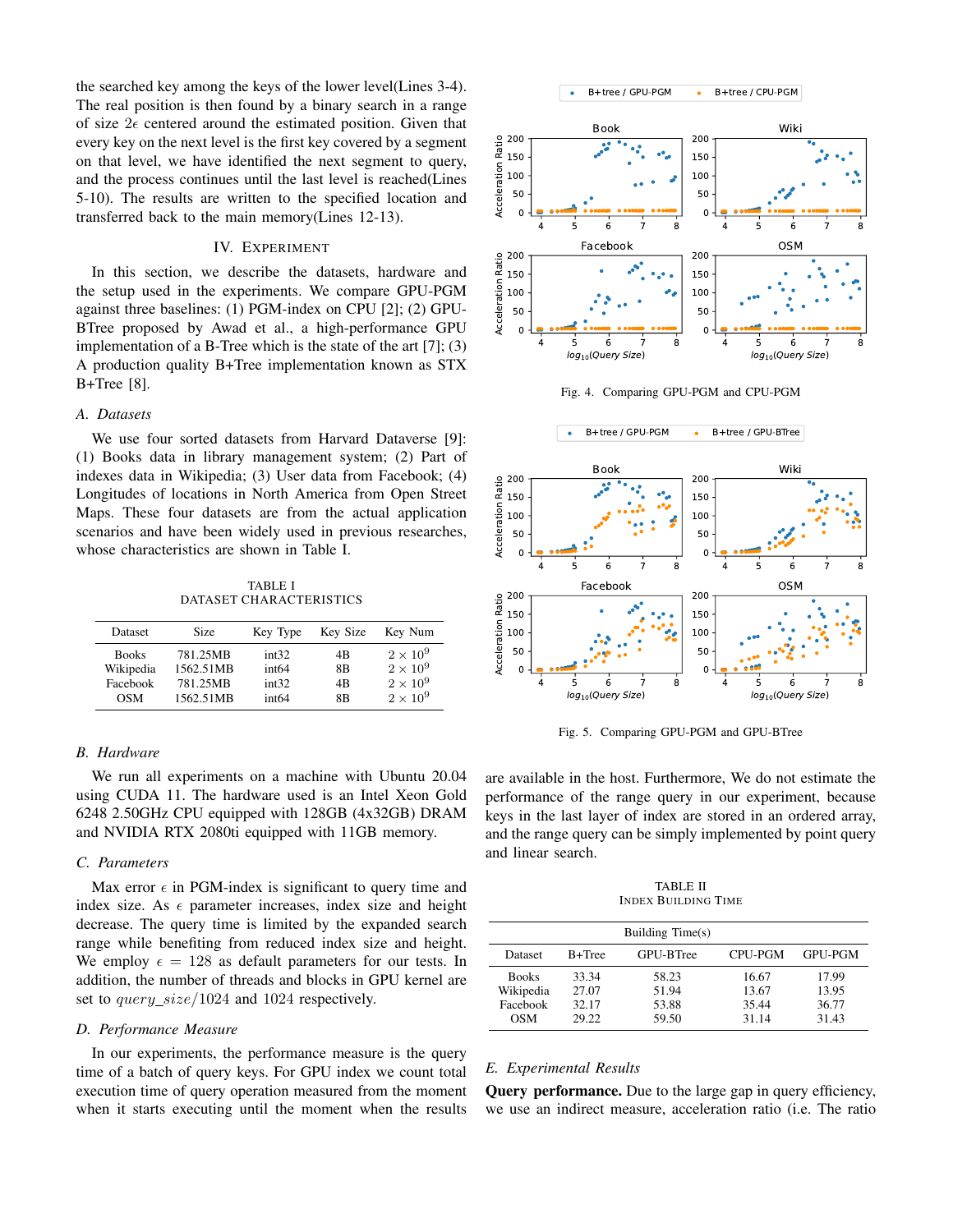the searched key among the keys of the lower level(Lines 3-4). The real position is then found by a binary search in a range of size  $2\epsilon$  centered around the estimated position. Given that every key on the next level is the first key covered by a segment on that level, we have identified the next segment to query, and the process continues until the last level is reached(Lines 5-10). The results are written to the specified location and transferred back to the main memory(Lines 12-13).

# IV. EXPERIMENT

In this section, we describe the datasets, hardware and the setup used in the experiments. We compare GPU-PGM against three baselines: (1) PGM-index on CPU [2]; (2) GPU-BTree proposed by Awad et al., a high-performance GPU implementation of a B-Tree which is the state of the art [7]; (3) A production quality B+Tree implementation known as STX B+Tree [8].

## *A. Datasets*

We use four sorted datasets from Harvard Dataverse [9]: (1) Books data in library management system; (2) Part of indexes data in Wikipedia; (3) User data from Facebook; (4) Longitudes of locations in North America from Open Street Maps. These four datasets are from the actual application scenarios and have been widely used in previous researches, whose characteristics are shown in Table I.

TABLE I DATASET CHARACTERISTICS

| Dataset      | Size      | Key Type          | Key Size | Key Num         |
|--------------|-----------|-------------------|----------|-----------------|
| <b>Books</b> | 781.25MB  | int32             | 4B       | $2 \times 10^9$ |
| Wikipedia    | 1562.51MB | int <sub>64</sub> | 8B       | $2 \times 10^9$ |
| Facebook     | 781.25MB  | int32             | 4B       | $2 \times 10^9$ |
| <b>OSM</b>   | 1562.51MB | int <sub>64</sub> | 8B       | $2 \times 10^9$ |

## *B. Hardware*

We run all experiments on a machine with Ubuntu 20.04 using CUDA 11. The hardware used is an Intel Xeon Gold 6248 2.50GHz CPU equipped with 128GB (4x32GB) DRAM and NVIDIA RTX 2080ti equipped with 11GB memory.

# *C. Parameters*

Max error  $\epsilon$  in PGM-index is significant to query time and index size. As  $\epsilon$  parameter increases, index size and height decrease. The query time is limited by the expanded search range while benefiting from reduced index size and height. We employ  $\epsilon = 128$  as default parameters for our tests. In addition, the number of threads and blocks in GPU kernel are set to query\_size/1024 and 1024 respectively.

### *D. Performance Measure*

In our experiments, the performance measure is the query time of a batch of query keys. For GPU index we count total execution time of query operation measured from the moment when it starts executing until the moment when the results





Fig. 4. Comparing GPU-PGM and CPU-PGM





Fig. 5. Comparing GPU-PGM and GPU-BTree

are available in the host. Furthermore, We do not estimate the performance of the range query in our experiment, because keys in the last layer of index are stored in an ordered array, and the range query can be simply implemented by point query and linear search.

TABLE II INDEX BUILDING TIME

| Building Time(s)                             |                                  |                                  |                                  |                                  |  |  |
|----------------------------------------------|----------------------------------|----------------------------------|----------------------------------|----------------------------------|--|--|
| Dataset                                      | $B+Tree$                         | GPU-BTree                        | CPU-PGM                          | <b>GPU-PGM</b>                   |  |  |
| <b>Books</b><br>Wikipedia<br>Facebook<br>OSM | 33.34<br>27.07<br>32.17<br>29.22 | 58.23<br>51.94<br>53.88<br>59.50 | 16.67<br>13.67<br>35.44<br>31.14 | 17.99<br>13.95<br>36.77<br>31.43 |  |  |

# *E. Experimental Results*

**Query performance.** Due to the large gap in query efficiency, we use an indirect measure, acceleration ratio (i.e. The ratio